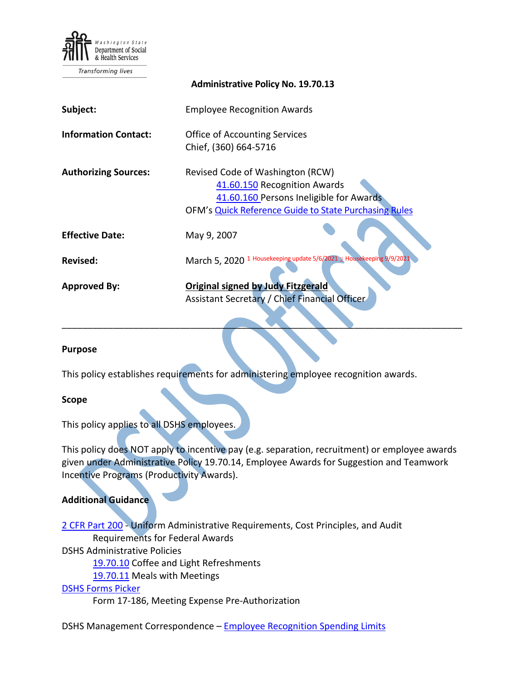

Transforming lives

|                             | <b>AUTHINISTIQUE FUILY INC. 19.70.19</b>                                                                                                                                    |
|-----------------------------|-----------------------------------------------------------------------------------------------------------------------------------------------------------------------------|
| Subject:                    | <b>Employee Recognition Awards</b>                                                                                                                                          |
| <b>Information Contact:</b> | <b>Office of Accounting Services</b><br>Chief, (360) 664-5716                                                                                                               |
| <b>Authorizing Sources:</b> | Revised Code of Washington (RCW)<br>41.60.150 Recognition Awards<br>41.60.160 Persons Ineligible for Awards<br><b>OFM's Quick Reference Guide to State Purchasing Rules</b> |
| <b>Effective Date:</b>      | May 9, 2007                                                                                                                                                                 |
| <b>Revised:</b>             | 1 Housekeeping update 5/6/2021 2 Housekeeping 9/9/2021<br>March 5, 2020                                                                                                     |
| <b>Approved By:</b>         | <b>Original signed by Judy Fitzgerald</b><br>Assistant Secretary / Chief Financial Officer                                                                                  |

**Administrative Policy No. 19.70.13**

#### **Purpose**

This policy establishes requirements for administering employee recognition awards.

#### **Scope**

This policy applies to all DSHS employees.

This policy does NOT apply to incentive pay (e.g. separation, recruitment) or employee awards given under Administrative Policy [19.70.14,](http://one.dshs.wa.lcl/Policies/Administrative/DSHS-AP-19-70-14.pdf) Employee Awards for Suggestion and Teamwork Incentive Programs (Productivity Awards).

\_\_\_\_\_\_\_\_\_\_\_\_\_\_\_\_\_\_\_\_\_\_\_\_\_\_\_\_\_\_\_\_\_\_\_\_\_\_\_\_\_\_\_\_\_\_\_\_\_\_\_\_\_\_\_\_\_\_\_\_\_\_\_\_\_\_\_\_\_\_\_\_\_\_\_\_\_\_

### **Additional Guidance**

[2 CFR Part 200](https://www.ecfr.gov/cgi-bin/text-idx?SID=5112ed657a44c1d08acd1a6fd99df6d4&mc=true&node=pt2.1.200&rgn=div5) - Uniform Administrative Requirements, Cost Principles, and Audit Requirements for Federal Awards

DSHS Administrative Policies

[19.70.10](http://one.dshs.wa.lcl/Policies/Administrative/DSHS-AP-19-70-10.pdf) Coffee and Light Refreshments

[19.70.11](http://one.dshs.wa.lcl/Policies/Administrative/DSHS-AP-19-70-11.pdf) Meals with Meetings

# DSHS [Forms Picker](http://forms.dshs.wa.lcl/)

Form 17-186, Meeting Expense Pre-Authorization

DSHS Management Correspondence - [Employee Recognition Spending Limits](http://one.dshs.wa.lcl/FS/Fiscal/Accounting/Payroll/Pages/ManagementCorrespondence.aspx)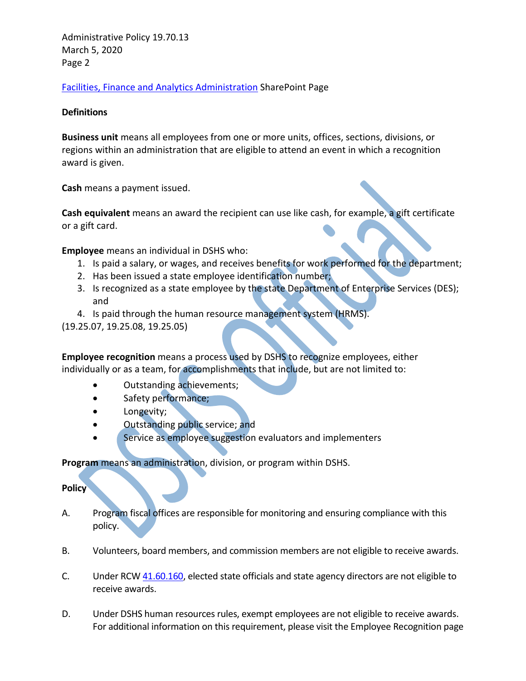Administrative Policy 19.70.13 March 5, 2020 Page 2

[Facilities, Finance and Analytics Administration](http://one.dshs.wa.lcl/FS/Pages/default.aspx) SharePoint Page

### **Definitions**

**Business unit** means all employees from one or more units, offices, sections, divisions, or regions within an administration that are eligible to attend an event in which a recognition award is given.

**Cash** means a payment issued.

**Cash equivalent** means an award the recipient can use like cash, for example, a gift certificate or a gift card.

**Employee** means an individual in DSHS who:

- 1. Is paid a salary, or wages, and receives benefits for work performed for the department;
- 2. Has been issued a state employee identification number;
- 3. Is recognized as a state employee by the state Department of Enterprise Services (DES); and
- 4. Is paid through the human resource management system (HRMS).
- (19.25.07, 19.25.08, 19.25.05)

**Employee recognition** means a process used by DSHS to recognize employees, either individually or as a team, for accomplishments that include, but are not limited to:

- Outstanding achievements;
- Safety performance;
- Longevity;
- Outstanding public service; and
- Service as employee suggestion evaluators and implementers

**Program** means an administration, division, or program within DSHS.

**Policy**

- A. Program fiscal offices are responsible for monitoring and ensuring compliance with this policy.
- B. Volunteers, board members, and commission members are not eligible to receive awards.
- C. Under RCW [41.60.160,](http://apps.leg.wa.gov/RCW/default.aspx?cite=41.60.160) elected state officials and state agency directors are not eligible to receive awards.
- D. Under DSHS human resources rules, exempt employees are not eligible to receive awards. For additional information on this requirement, please visit the Employee Recognition page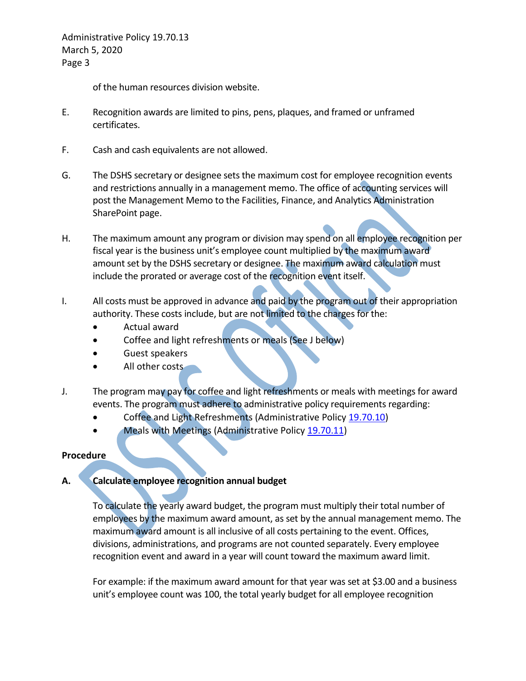Administrative Policy 19.70.13 March 5, 2020 Page 3

of the human resources division website.

- E. Recognition awards are limited to pins, pens, plaques, and framed or unframed certificates.
- F. Cash and cash equivalents are not allowed.
- G. The DSHS secretary or designee sets the maximum cost for employee recognition events and restrictions annually in a management memo. The office of accounting services will post the Management Memo to the Facilities, Finance, and Analytics Administration SharePoint page.
- H. The maximum amount any program or division may spend on all employee recognition per fiscal year is the business unit's employee count multiplied by the maximum award amount set by the DSHS secretary or designee. The maximum award calculation must include the prorated or average cost of the recognition event itself.
- I. All costs must be approved in advance and paid by the program out of their appropriation authority. These costs include, but are not limited to the charges for the:
	- Actual award
	- Coffee and light refreshments or meals (See J below)
	- Guest speakers
	- All other costs
- J. The program may pay for coffee and light refreshments or meals with meetings for award events. The program must adhere to administrative policy requirements regarding:
	- Coffee and Light Refreshments (Administrative Policy [19.70.10\)](http://one.dshs.wa.lcl/Policies/Administrative/DSHS-AP-19-70-10.pdf)
	- Meals with Meetings (Administrative Policy [19.70.11\)](http://one.dshs.wa.lcl/Policies/Administrative/DSHS-AP-19-70-11.pdf)

### **Procedure**

# **A. Calculate employee recognition annual budget**

To calculate the yearly award budget, the program must multiply their total number of employees by the maximum award amount, as set by the annual management memo. The maximum award amount is all inclusive of all costs pertaining to the event. Offices, divisions, administrations, and programs are not counted separately. Every employee recognition event and award in a year will count toward the maximum award limit.

For example: if the maximum award amount for that year was set at \$3.00 and a business unit's employee count was 100, the total yearly budget for all employee recognition